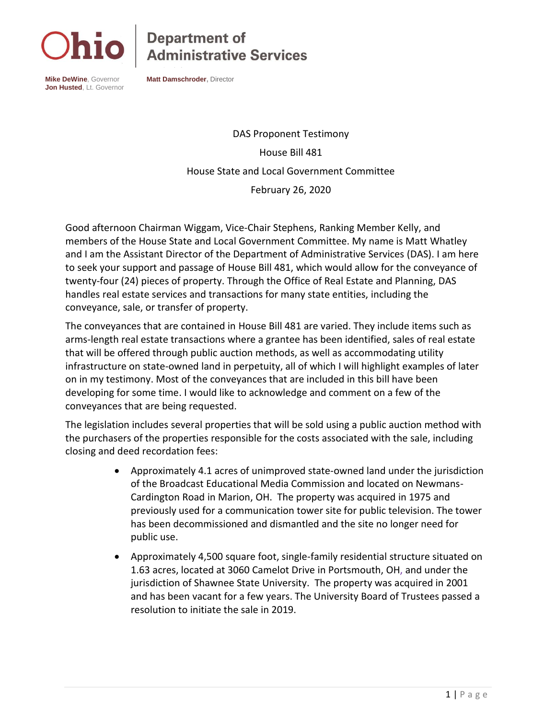

## **Department of<br>Administrative Services**

**Mike DeWine**, Governor **Jon Husted**, Lt. Governor **Matt Damschroder,** Director

DAS Proponent Testimony House Bill 481 House State and Local Government Committee February 26, 2020

Good afternoon Chairman Wiggam, Vice-Chair Stephens, Ranking Member Kelly, and members of the House State and Local Government Committee. My name is Matt Whatley and I am the Assistant Director of the Department of Administrative Services (DAS). I am here to seek your support and passage of House Bill 481, which would allow for the conveyance of twenty-four (24) pieces of property. Through the Office of Real Estate and Planning, DAS handles real estate services and transactions for many state entities, including the conveyance, sale, or transfer of property.

The conveyances that are contained in House Bill 481 are varied. They include items such as arms-length real estate transactions where a grantee has been identified, sales of real estate that will be offered through public auction methods, as well as accommodating utility infrastructure on state-owned land in perpetuity, all of which I will highlight examples of later on in my testimony. Most of the conveyances that are included in this bill have been developing for some time. I would like to acknowledge and comment on a few of the conveyances that are being requested.

The legislation includes several properties that will be sold using a public auction method with the purchasers of the properties responsible for the costs associated with the sale, including closing and deed recordation fees:

- Approximately 4.1 acres of unimproved state-owned land under the jurisdiction of the Broadcast Educational Media Commission and located on Newmans-Cardington Road in Marion, OH. The property was acquired in 1975 and previously used for a communication tower site for public television. The tower has been decommissioned and dismantled and the site no longer need for public use.
- Approximately 4,500 square foot, single-family residential structure situated on 1.63 acres, located at 3060 Camelot Drive in Portsmouth, OH, and under the jurisdiction of Shawnee State University. The property was acquired in 2001 and has been vacant for a few years. The University Board of Trustees passed a resolution to initiate the sale in 2019.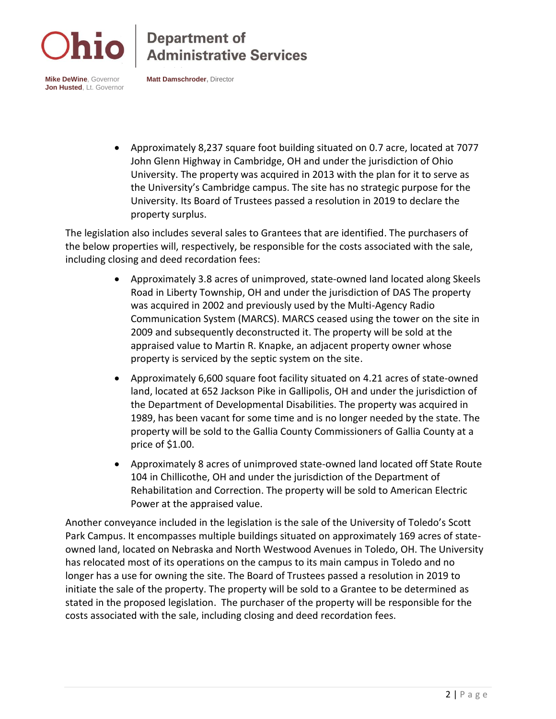

## **Department of<br>Administrative Services**

**Mike DeWine**, Governor **Jon Husted**, Lt. Governor **Matt Damschroder,** Director

• Approximately 8,237 square foot building situated on 0.7 acre, located at 7077 John Glenn Highway in Cambridge, OH and under the jurisdiction of Ohio University. The property was acquired in 2013 with the plan for it to serve as the University's Cambridge campus. The site has no strategic purpose for the University. Its Board of Trustees passed a resolution in 2019 to declare the property surplus.

The legislation also includes several sales to Grantees that are identified. The purchasers of the below properties will, respectively, be responsible for the costs associated with the sale, including closing and deed recordation fees:

- Approximately 3.8 acres of unimproved, state-owned land located along Skeels Road in Liberty Township, OH and under the jurisdiction of DAS The property was acquired in 2002 and previously used by the Multi-Agency Radio Communication System (MARCS). MARCS ceased using the tower on the site in 2009 and subsequently deconstructed it. The property will be sold at the appraised value to Martin R. Knapke, an adjacent property owner whose property is serviced by the septic system on the site.
- Approximately 6,600 square foot facility situated on 4.21 acres of state-owned land, located at 652 Jackson Pike in Gallipolis, OH and under the jurisdiction of the Department of Developmental Disabilities. The property was acquired in 1989, has been vacant for some time and is no longer needed by the state. The property will be sold to the Gallia County Commissioners of Gallia County at a price of \$1.00.
- Approximately 8 acres of unimproved state-owned land located off State Route 104 in Chillicothe, OH and under the jurisdiction of the Department of Rehabilitation and Correction. The property will be sold to American Electric Power at the appraised value.

Another conveyance included in the legislation is the sale of the University of Toledo's Scott Park Campus. It encompasses multiple buildings situated on approximately 169 acres of stateowned land, located on Nebraska and North Westwood Avenues in Toledo, OH. The University has relocated most of its operations on the campus to its main campus in Toledo and no longer has a use for owning the site. The Board of Trustees passed a resolution in 2019 to initiate the sale of the property. The property will be sold to a Grantee to be determined as stated in the proposed legislation. The purchaser of the property will be responsible for the costs associated with the sale, including closing and deed recordation fees.